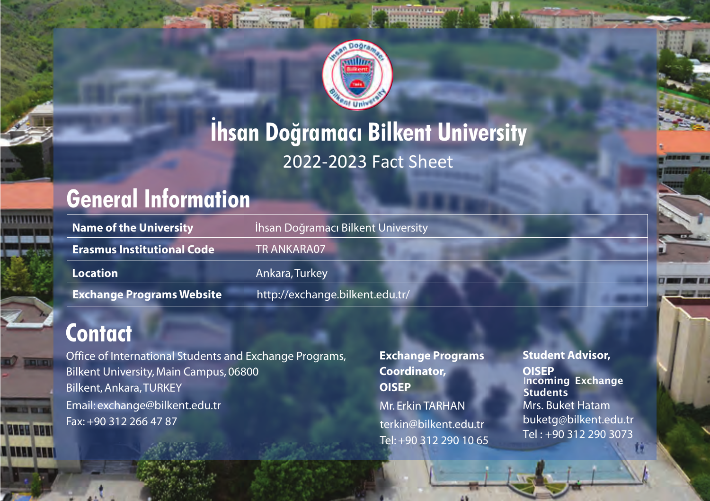

# **İhsan Doğramacı Bilkent University** 2022-2023 Fact Sheet

# **General Information**

| Name of the University            | İhsan Doğramacı Bilkent University |
|-----------------------------------|------------------------------------|
| <b>Erasmus Institutional Code</b> | <b>TRANKARA07</b>                  |
| Location                          | Ankara. Turkey                     |
| <b>Exchange Programs Website</b>  | http://exchange.bilkent.edu.tr/    |

# **Contact**

*<u>TITUT</u>* 

**Links of the A NUE UNIT HARR REAL**  Office of International Students and Exchange Programs, Bilkent University, Main Campus, 06800 Bilkent, Ankara, TURKEY Email: exchange@bilkent.edu.tr Fax: +90 312 266 47 87

**Exchange Programs Coordinator, OISEP** Mr. Erkin TARHAN terkin@bilkent.edu.tr Tel: +90 312 290 10 65

### **Student Advisor, OISEP** Mrs. Buket Hatam buketg@bilkent.edu.tr Tel : +90 312 290 3073 Incoming Exchange **Students**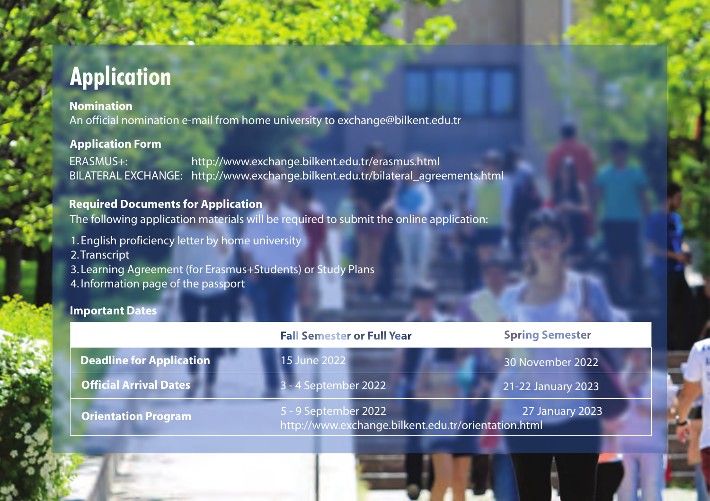# **Application**

## **Nomination**

An official nomination e-mail from home university to exchange@bilkent.edu.tr

# **Application Form**

ERASMUS+: BILATERAL EXCHANGE: http://www.exchange.bilkent.edu.tr/bilateral\_agreements.html http://www.exchange.bilkent.edu.tr/erasmus.html

# **Required Documents for Application**

The following application materials will be required to submit the online application:

1. English proficiency letter by home university 2. Transcript 3. Learning Agreement (for Erasmus+Students) or Study Plans 4. Information page of the passport

## **Important Dates**

|                                 | <b>Fall Semester or Full Year</b>                                                              | <b>Spring Semester</b> |  |
|---------------------------------|------------------------------------------------------------------------------------------------|------------------------|--|
| <b>Deadline for Application</b> | <b>15 June 2022</b>                                                                            | 30 November 2022       |  |
| <b>Official Arrival Dates</b>   | 3 - 4 September 2022                                                                           | 21-22 January 2023     |  |
| <b>Orientation Program</b>      | 5 - 9 September 2022<br>27 January 2023<br>http://www.exchange.bilkent.edu.tr/orientation.html |                        |  |
|                                 |                                                                                                |                        |  |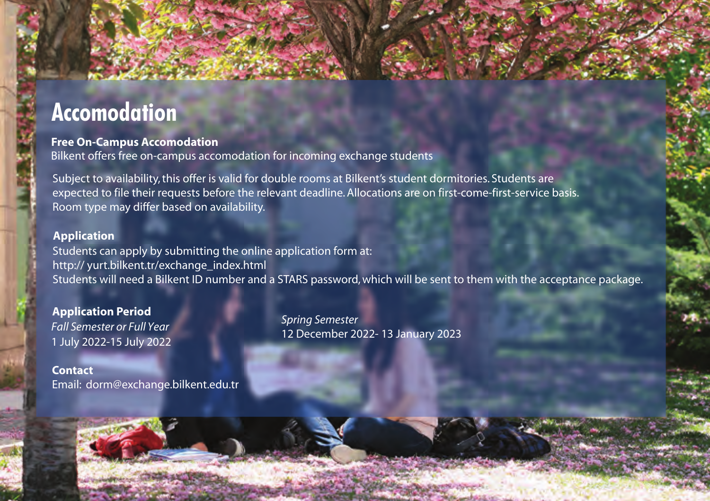# **Accomodation**

# **Free On-Campus Accomodation**

Bilkent offers free on-campus accomodation for incoming exchange students

Subject to availability, this offer is valid for double rooms at Bilkent's student dormitories. Students are expected to file their requests before the relevant deadline. Allocations are on first-come-first-service basis. Room type may differ based on availability.

# **Application**

Students can apply by submitting the online application form at: http:// yurt.bilkent.tr/exchange\_index.html Students will need a Bilkent ID number and a STARS password, which will be sent to them with the acceptance package.

# **Application Period**

*Fall Semester or Full Year* 1 July 2022-15 July 2022 *Spring Semester*  12 December 2022- 13 January 2023

**Contact** Email: dorm@exchange.bilkent.edu.tr

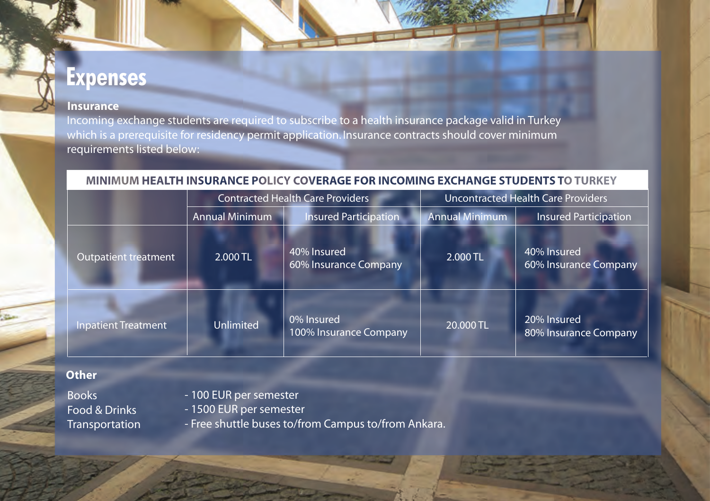# **Expenses**

### **Insurance**

Incoming exchange students are required to subscribe to a health insurance package valid in Turkey which is a prerequisite for residency permit application. Insurance contracts should cover minimum requirements listed below:

# MINIMUM HEALTH INSURANCE POLICY COVERAGE FOR INCOMING EXCHANGE STUDENTS TO TURKEY

|                             | <b>Contracted Health Care Providers</b> |                                      | <b>Uncontracted Health Care Providers</b> |                                      |
|-----------------------------|-----------------------------------------|--------------------------------------|-------------------------------------------|--------------------------------------|
|                             | <b>Annual Minimum</b>                   | Insured Participation                | <b>Annual Minimum</b>                     | <b>Insured Participation</b>         |
| <b>Outpatient treatment</b> | 2.000 TL                                | 40% Insured<br>60% Insurance Company | 2.000 TL                                  | 40% Insured<br>60% Insurance Company |
| <b>Inpatient Treatment</b>  | <b>Unlimited</b>                        | 0% Insured<br>100% Insurance Company | 20,000 TL                                 | 20% Insured<br>80% Insurance Company |

# **Other**

Books Food & Drinks **Transportation**  - 100 EUR per semester

- 1500 EUR per semester

- Free shuttle buses to/from Campus to/from Ankara.